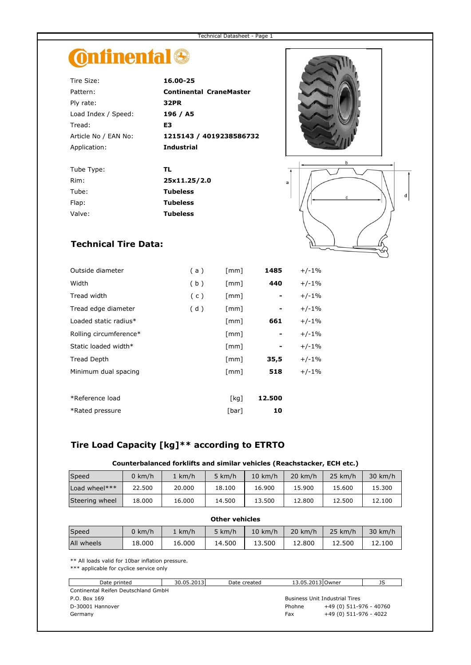# **Ontinental**<sup>®</sup>

| Tire Size:           | 16.00-25                       |
|----------------------|--------------------------------|
| Pattern:             | <b>Continental CraneMaster</b> |
| Ply rate:            | 32PR                           |
| Load Index / Speed:  | 196 / A5                       |
| Tread:               | E3                             |
| Article No / EAN No: | 1215143 / 4019238586732        |
| Application:         | <b>Industrial</b>              |
| Tube Type:           | TL.                            |
| Rim:                 | 25x11.25/2.0                   |
| Tube:                | <b>Tubeless</b>                |
| Flap:                | Tubeless                       |





### **Technical Tire Data:**

Valve: **Tubeless**

| Outside diameter       | (a) | $\lceil mm \rceil$   | 1485   | $+/-1%$ |
|------------------------|-----|----------------------|--------|---------|
|                        |     |                      |        |         |
| Width                  | (b) | $\lceil mm \rceil$   | 440    | $+/-1%$ |
| Tread width            | (c) | $\lceil$ mm $\rceil$ |        | $+/-1%$ |
| Tread edge diameter    | (d) | $\lceil$ mm $\rceil$ |        | $+/-1%$ |
| Loaded static radius*  |     | $\lceil$ mm $\rceil$ | 661    | $+/-1%$ |
| Rolling circumference* |     | $\lceil mm \rceil$   |        | $+/-1%$ |
| Static loaded width*   |     | $\lceil$ mm $\rceil$ |        | $+/-1%$ |
| <b>Tread Depth</b>     |     | $\lceil$ mm $\rceil$ | 35,5   | $+/-1%$ |
| Minimum dual spacing   |     | $\lceil$ mm $\rceil$ | 518    | $+/-1%$ |
|                        |     |                      |        |         |
| *Reference load        |     | [kg]                 | 12.500 |         |
| *Rated pressure        |     | [bar]                | 10     |         |
|                        |     |                      |        |         |

## **Tire Load Capacity [kg]\*\* according to ETRTO**

#### **Counterbalanced forklifts and similar vehicles (Reachstacker, ECH etc.)**

| Speed          | km/h   | 1 km/h | 5 km/h | $10 \text{ km/h}$ | $20$ km/h | $25 \text{ km/h}$ | 30 km/h |
|----------------|--------|--------|--------|-------------------|-----------|-------------------|---------|
| Load wheel***  | 22.500 | 20,000 | 18.100 | 16.900            | 15.900    | 15.600            | 15.300  |
| Steering wheel | 18.000 | 16.000 | 14.500 | 13.500            | 12.800    | 12.500            | 12.100  |

| <b>Other vehicles</b> |             |        |        |                   |           |                   |                   |
|-----------------------|-------------|--------|--------|-------------------|-----------|-------------------|-------------------|
| Speed                 | $0 \; km/h$ | 1 km/h | 5 km/h | $10 \text{ km/h}$ | $20$ km/h | $25 \text{ km/h}$ | $30 \text{ km/h}$ |
| All wheels            | 18.000      | 16.000 | 14.500 | 13.500            | 12.800    | 12.500            | 12.100            |

\*\* All loads valid for 10bar inflation pressure.

\*\*\* applicable for cyclice service only

| Date printed                        | 30.05.2013 | Date created | 13.05.2013 Owner                      |                         | JS |  |  |
|-------------------------------------|------------|--------------|---------------------------------------|-------------------------|----|--|--|
| Continental Reifen Deutschland GmbH |            |              |                                       |                         |    |  |  |
| P.O. Box 169                        |            |              | <b>Business Unit Industrial Tires</b> |                         |    |  |  |
| D-30001 Hannover                    |            |              | Phohne                                | +49 (0) 511-976 - 40760 |    |  |  |
| Germany                             |            |              | Fax                                   | +49 (0) 511-976 - 4022  |    |  |  |
|                                     |            |              |                                       |                         |    |  |  |